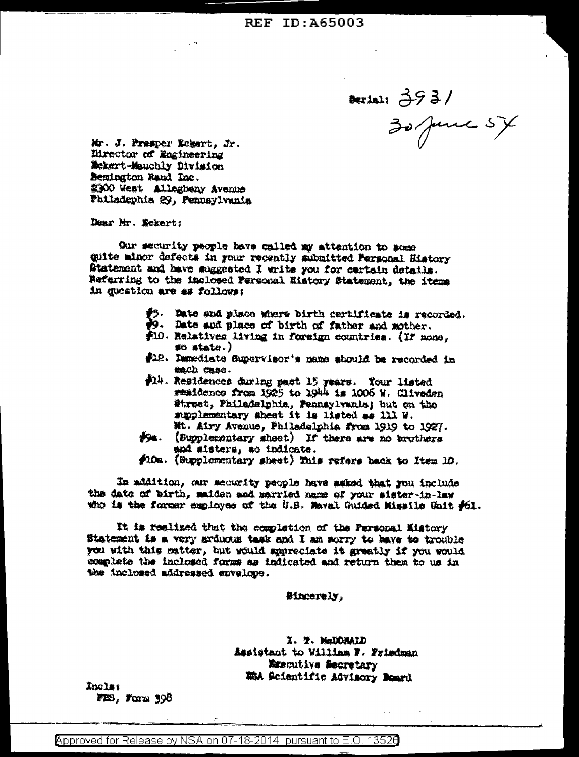Beriai: 3931<br>30 June 54

Mr. J. Presper Rebert, Jr. Eirector of Engineering Mckert-Mauchly Division **Bemington Rand Inc.** 2300 West Allegbeny Avenue Failsdephis 29, Pennsylvania

Dear Mr. Mckert:

Our security people have called my attention to some quite minor defects in your recently submitted Personal History Statement and have suggested I write you for cartain details. Referring to the inclosed Personal History Statement, the items in question are as follows:

- #5. Date and place where birth certificate is recorded.
- 39. Date and place of birth of father and mother.
- \$10. Relatives living in foreign countries. (If none,  $\neq$   $\neq$   $\neq$   $\neq$   $\neq$   $\neq$   $\neq$   $\neq$   $\neq$   $\neq$   $\neq$   $\neq$   $\neq$   $\neq$   $\neq$   $\neq$   $\neq$   $\neq$   $\neq$   $\neq$   $\neq$   $\neq$   $\neq$   $\neq$   $\neq$   $\neq$   $\neq$   $\neq$   $\neq$   $\neq$   $\neq$   $\neq$   $\neq$   $\neq$   $\neq$   $\neq$   $\neq$
- \$12. Immediate Supervisor's name should be recorded in each case.
- #14. Residences during past 15 years. Your listed remidence from 1925 to 1944 is 1006 W. Cliveden Street, Philadelphia, Pennsylvanis; but on the supplementary sheet it is listed as 111 W. Mt. Airy Avanue, Philadelphia from 1919 to 1927.
- #5a. (Supplementary sheet) If there are no brothers and sisters, so indicate.
- #10a. (Supplementary sheet) This rafers back to Item 10.

In addition, our mecurity people have asked that you include the date of birth, maiden and married name of your sister-in-law who is the former employee of the U.S. Maval Guided Missile Unit #61.

It is realized that the completion of the Personal History Statement is a very arduous task and I am sorry to have to trouble you with this matter, but would appreciate it greatly if you would complete the inclosed forms as indicated and return them to us in the inclosed addressed envelope.

**Sincerely,** 

I. T. McDONALD Assistant to William F. Friedman Ementive Secretary MEA Scientific Advisory Board

**Inclas** FE9, Form 398